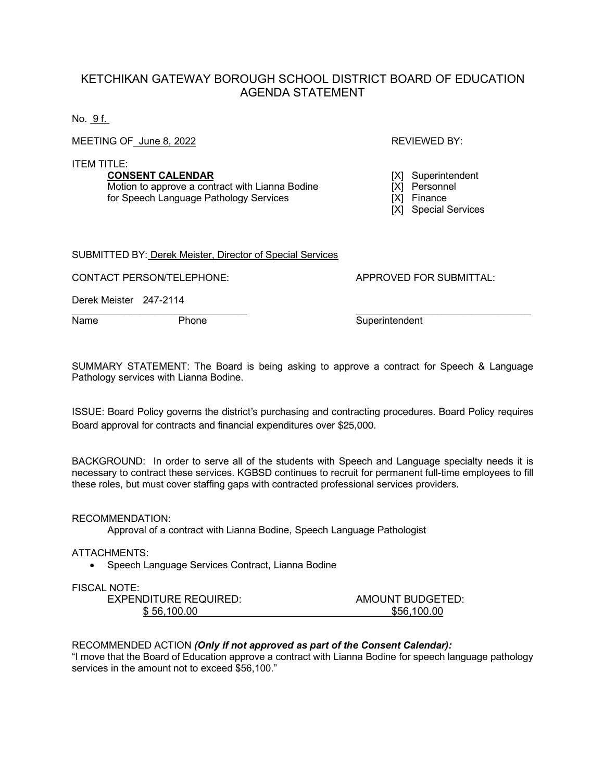## KETCHIKAN GATEWAY BOROUGH SCHOOL DISTRICT BOARD OF EDUCATION AGENDA STATEMENT

No. 9 f.

MEETING OF June 8, 2022 **REVIEWED BY:** REVIEWED BY:

ITEM TITLE:

**CONSENT CALENDAR** [X] Superintendent<br>
Motion to approve a contract with Lianna Bodine [X] Personnel Motion to approve a contract with Lianna Bodine for Speech Language Pathology Services [X] Finance

[X] Special Services

SUBMITTED BY: Derek Meister, Director of Special Services

CONTACT PERSON/TELEPHONE: APPROVED FOR SUBMITTAL:

Derek Meister 247-2114

\_\_\_\_\_\_\_\_\_\_\_\_\_\_\_\_\_\_\_\_\_\_\_\_\_\_\_\_\_\_\_\_\_\_\_\_\_\_\_\_ \_\_\_\_\_\_\_\_\_\_\_\_\_\_\_\_\_\_\_\_\_\_\_\_\_\_\_\_\_\_\_\_\_\_\_\_\_\_\_\_ Name Phone Phone Superintendent

SUMMARY STATEMENT: The Board is being asking to approve a contract for Speech & Language Pathology services with Lianna Bodine.

ISSUE: Board Policy governs the district's purchasing and contracting procedures. Board Policy requires Board approval for contracts and financial expenditures over \$25,000.

BACKGROUND: In order to serve all of the students with Speech and Language specialty needs it is necessary to contract these services. KGBSD continues to recruit for permanent full-time employees to fill these roles, but must cover staffing gaps with contracted professional services providers.

RECOMMENDATION:

Approval of a contract with Lianna Bodine, Speech Language Pathologist

ATTACHMENTS:

• Speech Language Services Contract, Lianna Bodine

## FISCAL NOTE:

| EXPENDITURE REQUIRED: | AMOUNT BUDGETED: |
|-----------------------|------------------|
| \$56,100.00           | \$56,100.00      |

## RECOMMENDED ACTION *(Only if not approved as part of the Consent Calendar):*

"I move that the Board of Education approve a contract with Lianna Bodine for speech language pathology services in the amount not to exceed \$56,100."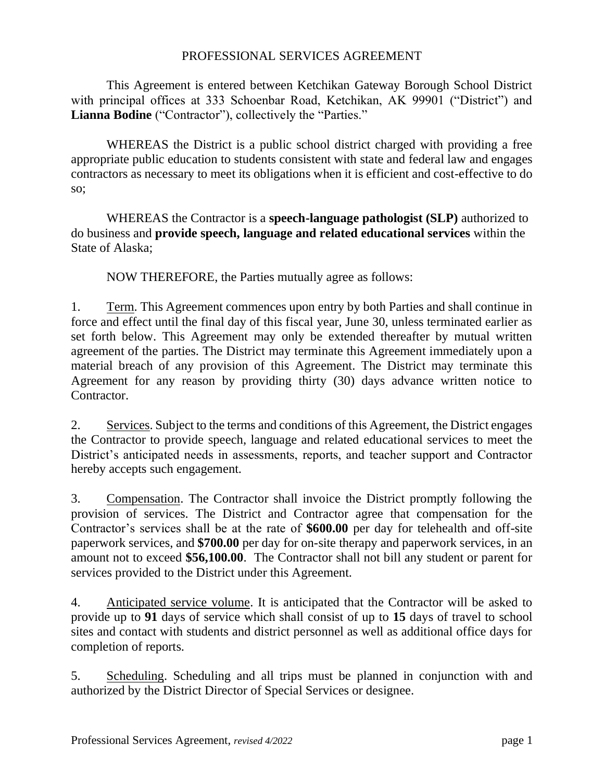## PROFESSIONAL SERVICES AGREEMENT

This Agreement is entered between Ketchikan Gateway Borough School District with principal offices at 333 Schoenbar Road, Ketchikan, AK 99901 ("District") and **Lianna Bodine** ("Contractor"), collectively the "Parties."

WHEREAS the District is a public school district charged with providing a free appropriate public education to students consistent with state and federal law and engages contractors as necessary to meet its obligations when it is efficient and cost-effective to do so;

WHEREAS the Contractor is a **speech-language pathologist (SLP)** authorized to do business and **provide speech, language and related educational services** within the State of Alaska;

NOW THEREFORE, the Parties mutually agree as follows:

1. Term. This Agreement commences upon entry by both Parties and shall continue in force and effect until the final day of this fiscal year, June 30, unless terminated earlier as set forth below. This Agreement may only be extended thereafter by mutual written agreement of the parties. The District may terminate this Agreement immediately upon a material breach of any provision of this Agreement. The District may terminate this Agreement for any reason by providing thirty (30) days advance written notice to Contractor.

2. Services. Subject to the terms and conditions of this Agreement, the District engages the Contractor to provide speech, language and related educational services to meet the District's anticipated needs in assessments, reports, and teacher support and Contractor hereby accepts such engagement.

3. Compensation. The Contractor shall invoice the District promptly following the provision of services. The District and Contractor agree that compensation for the Contractor's services shall be at the rate of **\$600.00** per day for telehealth and off-site paperwork services, and **\$700.00** per day for on-site therapy and paperwork services, in an amount not to exceed **\$56,100.00**. The Contractor shall not bill any student or parent for services provided to the District under this Agreement.

4. Anticipated service volume. It is anticipated that the Contractor will be asked to provide up to **91** days of service which shall consist of up to **15** days of travel to school sites and contact with students and district personnel as well as additional office days for completion of reports.

5. Scheduling. Scheduling and all trips must be planned in conjunction with and authorized by the District Director of Special Services or designee.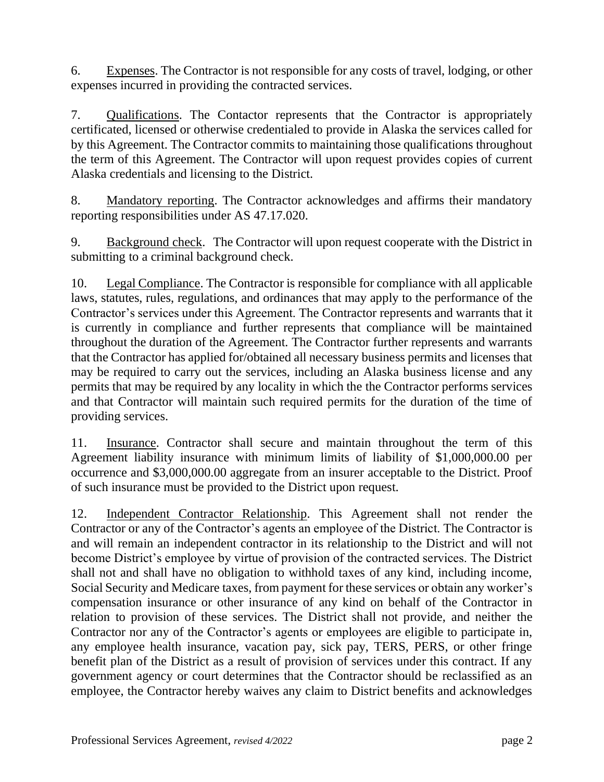6. Expenses. The Contractor is not responsible for any costs of travel, lodging, or other expenses incurred in providing the contracted services.

7. Qualifications. The Contactor represents that the Contractor is appropriately certificated, licensed or otherwise credentialed to provide in Alaska the services called for by this Agreement. The Contractor commits to maintaining those qualifications throughout the term of this Agreement. The Contractor will upon request provides copies of current Alaska credentials and licensing to the District.

8. Mandatory reporting. The Contractor acknowledges and affirms their mandatory reporting responsibilities under AS 47.17.020.

9. Background check. The Contractor will upon request cooperate with the District in submitting to a criminal background check.

10. Legal Compliance. The Contractor is responsible for compliance with all applicable laws, statutes, rules, regulations, and ordinances that may apply to the performance of the Contractor's services under this Agreement. The Contractor represents and warrants that it is currently in compliance and further represents that compliance will be maintained throughout the duration of the Agreement. The Contractor further represents and warrants that the Contractor has applied for/obtained all necessary business permits and licenses that may be required to carry out the services, including an Alaska business license and any permits that may be required by any locality in which the the Contractor performs services and that Contractor will maintain such required permits for the duration of the time of providing services.

11. Insurance. Contractor shall secure and maintain throughout the term of this Agreement liability insurance with minimum limits of liability of \$1,000,000.00 per occurrence and \$3,000,000.00 aggregate from an insurer acceptable to the District. Proof of such insurance must be provided to the District upon request.

12. Independent Contractor Relationship. This Agreement shall not render the Contractor or any of the Contractor's agents an employee of the District. The Contractor is and will remain an independent contractor in its relationship to the District and will not become District's employee by virtue of provision of the contracted services. The District shall not and shall have no obligation to withhold taxes of any kind, including income, Social Security and Medicare taxes, from payment for these services or obtain any worker's compensation insurance or other insurance of any kind on behalf of the Contractor in relation to provision of these services. The District shall not provide, and neither the Contractor nor any of the Contractor's agents or employees are eligible to participate in, any employee health insurance, vacation pay, sick pay, TERS, PERS, or other fringe benefit plan of the District as a result of provision of services under this contract. If any government agency or court determines that the Contractor should be reclassified as an employee, the Contractor hereby waives any claim to District benefits and acknowledges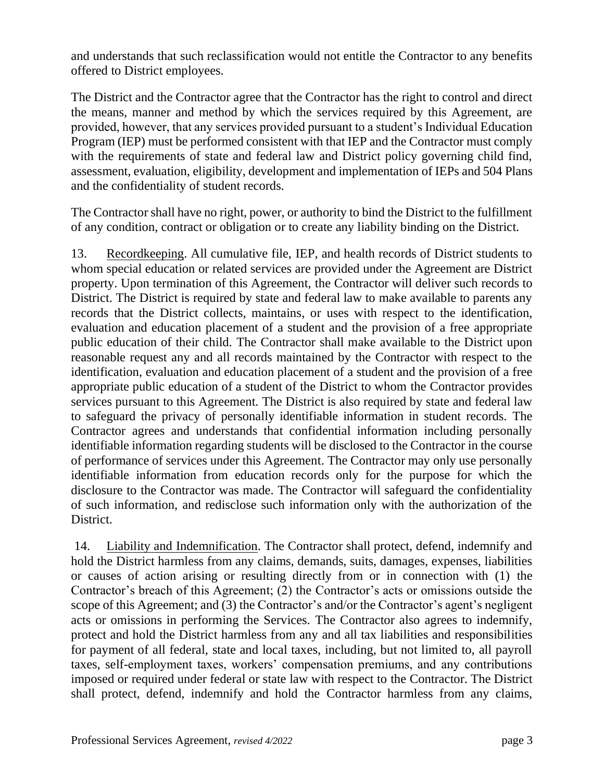and understands that such reclassification would not entitle the Contractor to any benefits offered to District employees.

The District and the Contractor agree that the Contractor has the right to control and direct the means, manner and method by which the services required by this Agreement, are provided, however, that any services provided pursuant to a student's Individual Education Program (IEP) must be performed consistent with that IEP and the Contractor must comply with the requirements of state and federal law and District policy governing child find, assessment, evaluation, eligibility, development and implementation of IEPs and 504 Plans and the confidentiality of student records.

The Contractor shall have no right, power, or authority to bind the District to the fulfillment of any condition, contract or obligation or to create any liability binding on the District.

13. Recordkeeping. All cumulative file, IEP, and health records of District students to whom special education or related services are provided under the Agreement are District property. Upon termination of this Agreement, the Contractor will deliver such records to District. The District is required by state and federal law to make available to parents any records that the District collects, maintains, or uses with respect to the identification, evaluation and education placement of a student and the provision of a free appropriate public education of their child. The Contractor shall make available to the District upon reasonable request any and all records maintained by the Contractor with respect to the identification, evaluation and education placement of a student and the provision of a free appropriate public education of a student of the District to whom the Contractor provides services pursuant to this Agreement. The District is also required by state and federal law to safeguard the privacy of personally identifiable information in student records. The Contractor agrees and understands that confidential information including personally identifiable information regarding students will be disclosed to the Contractor in the course of performance of services under this Agreement. The Contractor may only use personally identifiable information from education records only for the purpose for which the disclosure to the Contractor was made. The Contractor will safeguard the confidentiality of such information, and redisclose such information only with the authorization of the District.

14. Liability and Indemnification. The Contractor shall protect, defend, indemnify and hold the District harmless from any claims, demands, suits, damages, expenses, liabilities or causes of action arising or resulting directly from or in connection with (1) the Contractor's breach of this Agreement; (2) the Contractor's acts or omissions outside the scope of this Agreement; and (3) the Contractor's and/or the Contractor's agent's negligent acts or omissions in performing the Services. The Contractor also agrees to indemnify, protect and hold the District harmless from any and all tax liabilities and responsibilities for payment of all federal, state and local taxes, including, but not limited to, all payroll taxes, self-employment taxes, workers' compensation premiums, and any contributions imposed or required under federal or state law with respect to the Contractor. The District shall protect, defend, indemnify and hold the Contractor harmless from any claims,